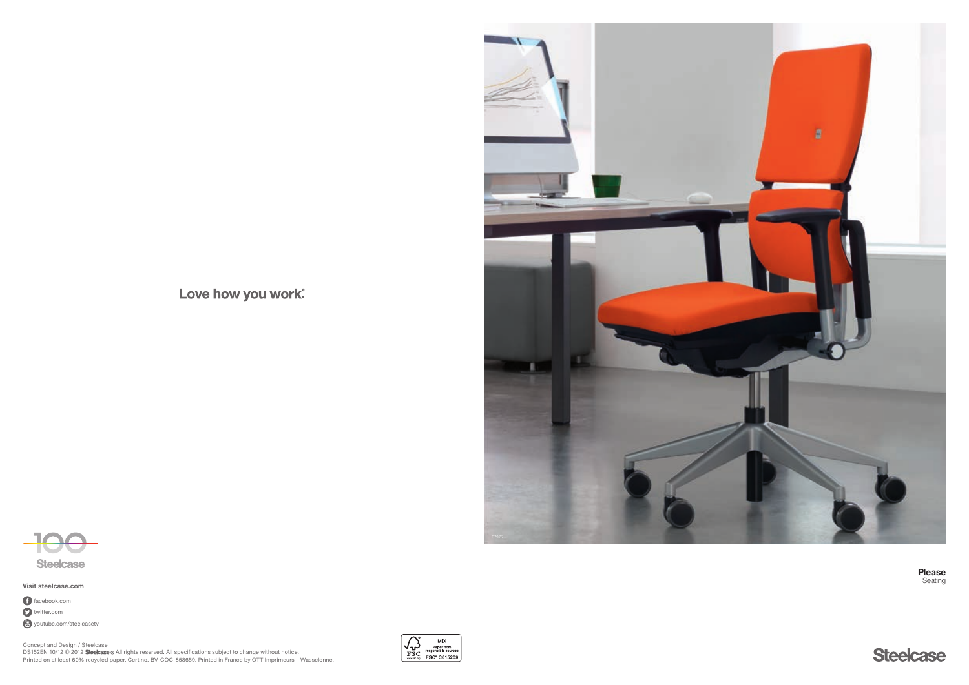Love how you work.





Visit steelcase.com

**O** twitter.com facebook.com **Youtube.com/steelcasetv**  Please Seating



Concept and Design / Steelcase DS152EN 10/12 © 2012 Steelcase ® All rights reserved. All specifications subject to change without notice. Printed on at least 60% recycled paper. Cert no. BV-COC-858659. Printed in France by OTT Imprimeurs – Wasselonne.

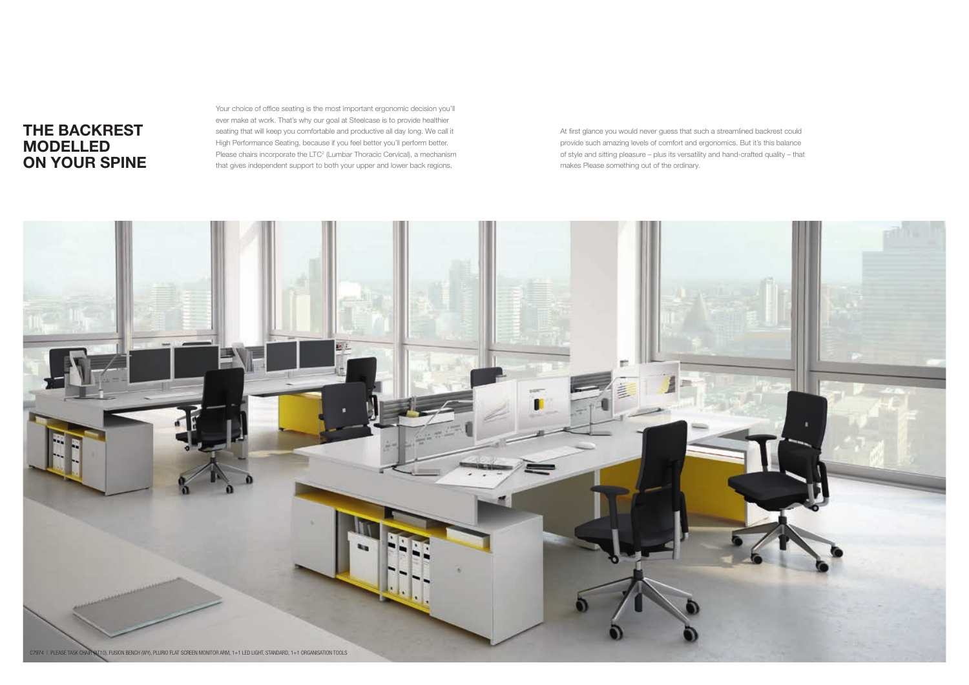Your choice of office seating is the most important ergonomic decision you'll ever make at work. That's why our goal at Steelcase is to provide healthier seating that will keep you comfortable and productive all day long. We call it High Performance Seating, because if you feel better you'll perform better. Please chairs incorporate the LTC<sup>2</sup> (Lumbar Thoracic Cervical), a mechanism that gives independent support to both your upper and lower back regions.



At first glance you would never guess that such a streamlined backrest could provide such amazing levels of comfort and ergonomics. But it's this balance of style and sitting pleasure – plus its versatility and hand-crafted quality – that makes Please something out of the ordinary.

# The backrest modelled on your spine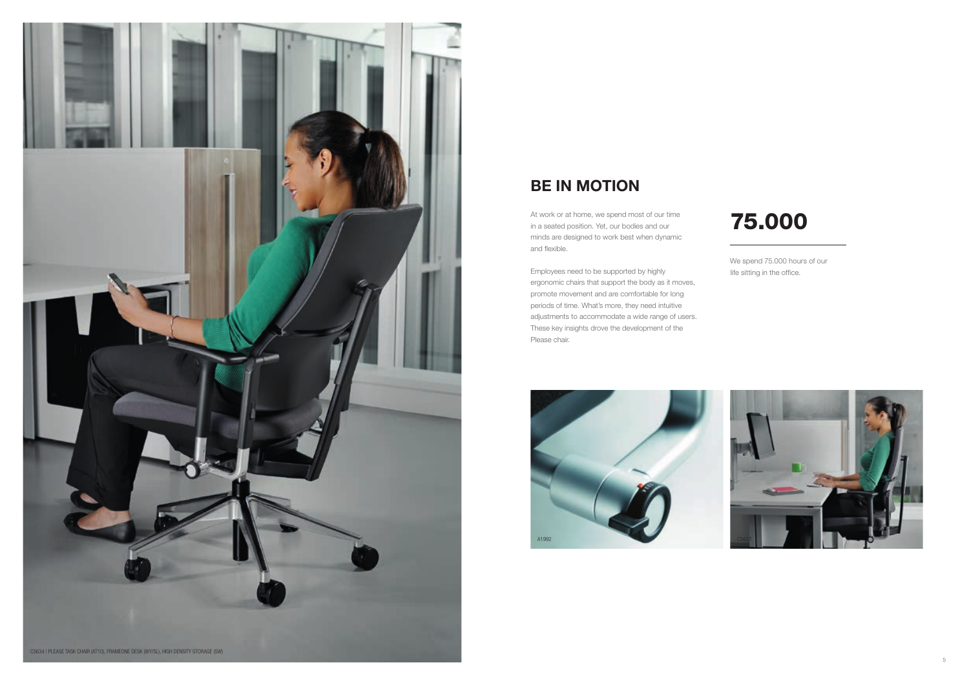



We spend 75.000 hours of our life sitting in the office.

# 75.000

# BE IN MOTION

At work or at home, we spend most of our time in a seated position. Yet, our bodies and our minds are designed to work best when dynamic and flexible.

Employees need to be supported by highly ergonomic chairs that support the body as it moves, promote movement and are comfortable for long periods of time. What's more, they need intuitive adjustments to accommodate a wide range of users. These key insights drove the development of the Please chair.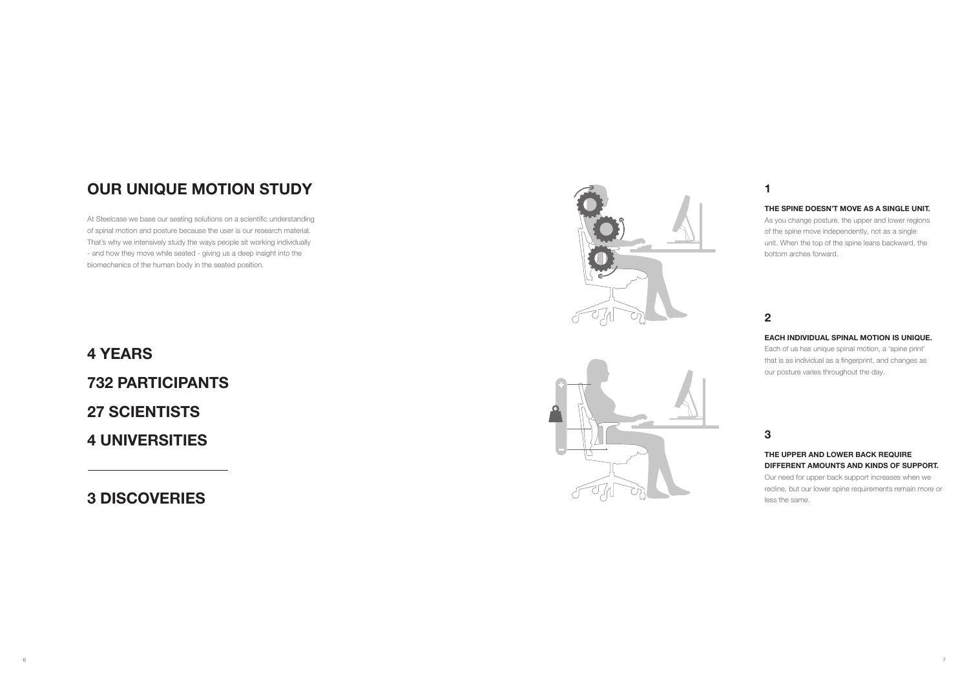# Our unique motion study

At Steelcase we base our seating solutions on a scientific understanding of spinal motion and posture because the user is our research material. That's why we intensively study the ways people sit working individually - and how they move while seated - giving us a deep insight into the biomechanics of the human body in the seated position.

4 years 732 participants 27 SCIENTISTS 4 universities

3 discoveries





# 1

# 2

# 3

## The spine doesn't move as a single unit.

As you change posture, the upper and lower regions of the spine move independently, not as a single unit. When the top of the spine leans backward, the bottom arches forward.

### Each individual spinal motion is unique.

Each of us has unique spinal motion, a 'spine print' that is as individual as a fingerprint, and changes as our posture varies throughout the day.

## The upper and lower back require different amounts and kinds of support.

Our need for upper back support increases when we recline, but our lower spine requirements remain more or less the same.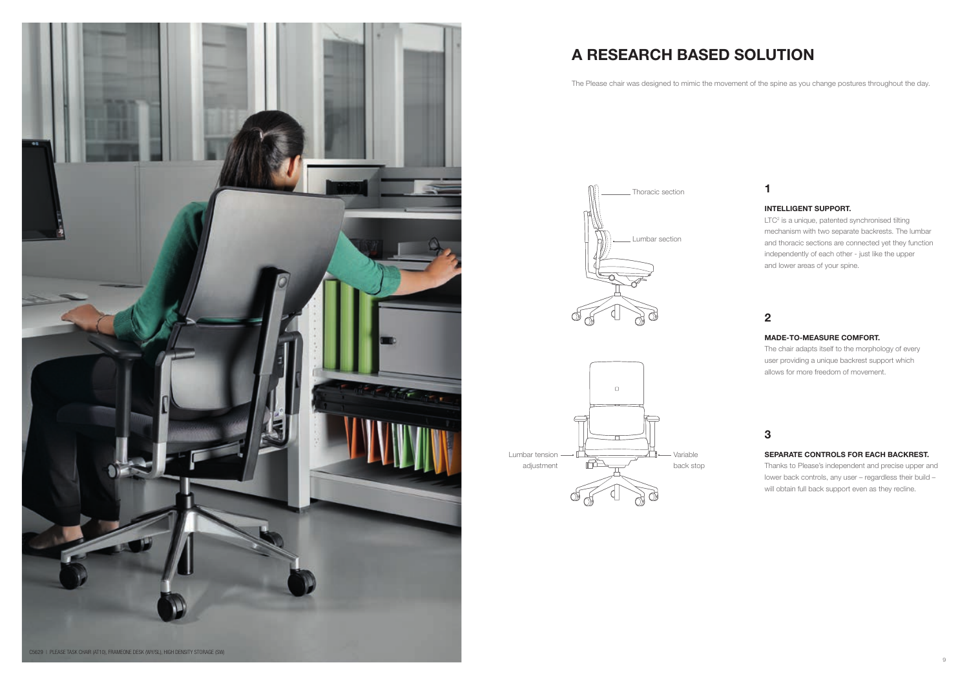

# A research based solution

The Please chair was designed to mimic the movement of the spine as you change postures throughout the day.



# 1

# 2

# 3

## Intelligent support.

LTC<sup>2</sup> is a unique, patented synchronised tilting mechanism with two separate backrests. The lumbar and thoracic sections are connected yet they function independently of each other - just like the upper and lower areas of your spine.



## Made-to-measure comfort.

The chair adapts itself to the morphology of every user providing a unique backrest support which allows for more freedom of movement.

## Separate controls for each backrest.

Thanks to Please's independent and precise upper and lower back controls, any user – regardless their build – will obtain full back support even as they recline.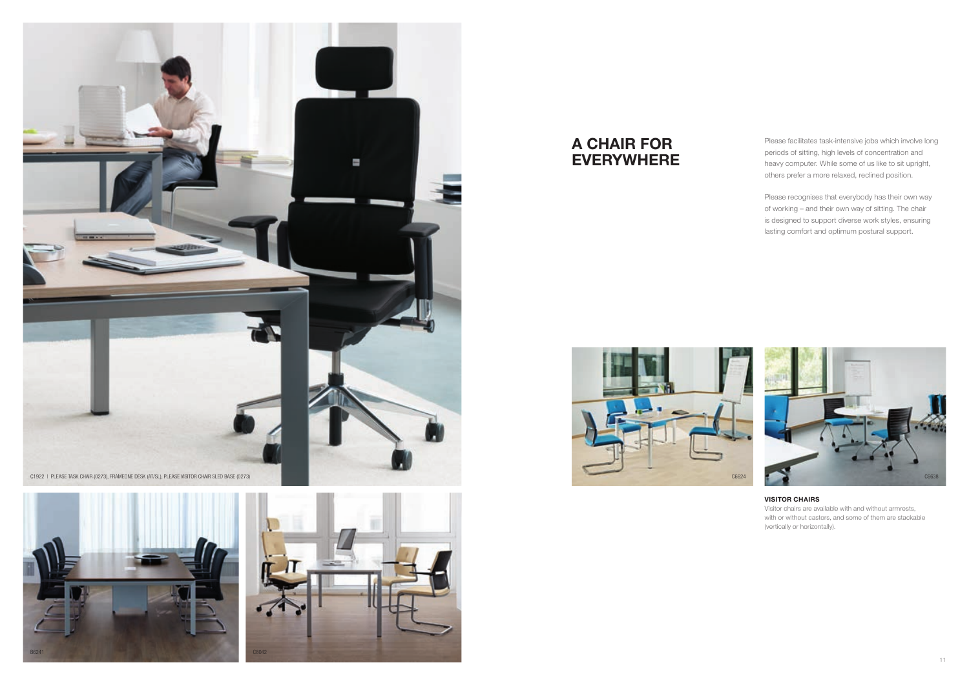





### Visitor chairs

Visitor chairs are available with and without armrests, with or without castors, and some of them are stackable (vertically or horizontally).





Please facilitates task-intensive jobs which involve long periods of sitting, high levels of concentration and heavy computer. While some of us like to sit upright, others prefer a more relaxed, reclined position.

Please recognises that everybody has their own way of working – and their own way of sitting. The chair is designed to support diverse work styles, ensuring lasting comfort and optimum postural support.



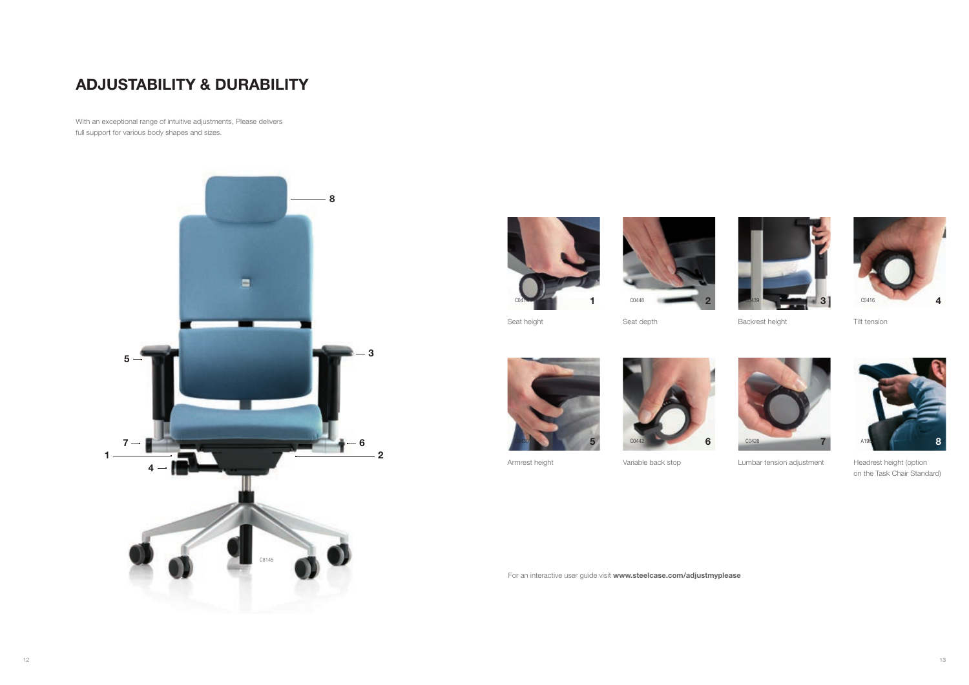

**Backrest height** 





6 C0442



Seat depth





Lumbar tension adjustment



Tilt tension

Seat height



Headrest height (option on the Task Chair Standard)

Armrest height

Variable back stop

For an interactive user guide visit www.steelcase.com/adjustmyplease

# AdJustability & durability

With an exceptional range of intuitive adjustments, Please delivers full support for various body shapes and sizes.